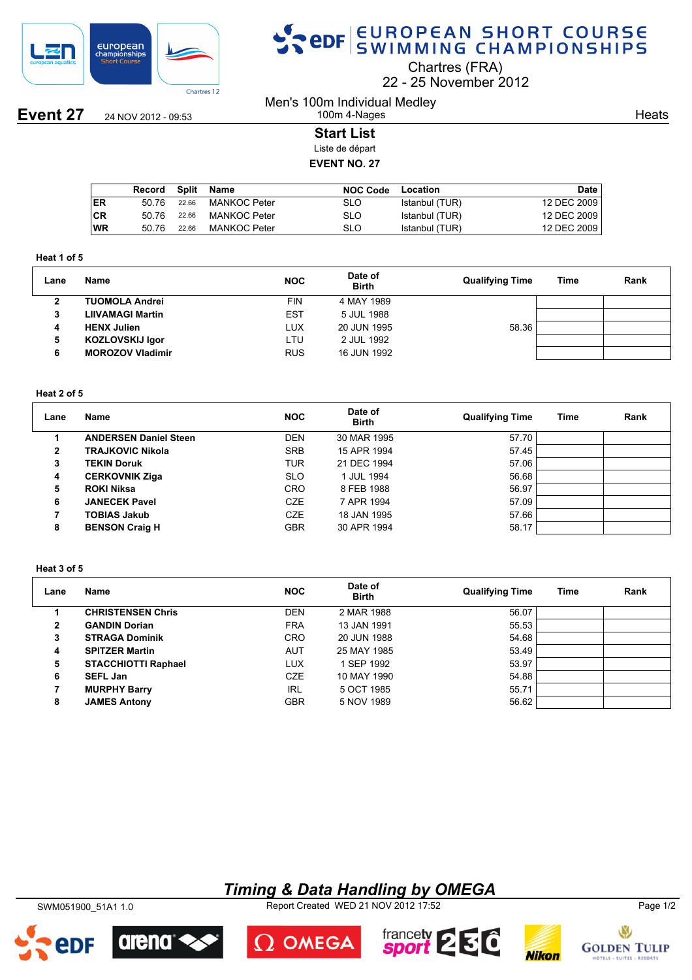

# SPOR EUROPEAN SHORT COURSE

Chartres (FRA)

22 25 November 2012

**Event 27** 24 NOV 2012 - 09:53 Men's 100m Individual Medley

**Heats** 

## 100m 4-Nages **Start List**

Liste de départ

## **EVENT NO. 27**

|           | Record | Split | Name                | <b>NOC Code</b> | Location       | <b>Date</b> |
|-----------|--------|-------|---------------------|-----------------|----------------|-------------|
| <b>ER</b> | 50.76  | 22.66 | MANKOC Peter        | SLO             | Istanbul (TUR) | 12 DEC 2009 |
| ∣CR       | 50.76  | 22.66 | <b>MANKOC Peter</b> | SLO             | Istanbul (TUR) | 12 DEC 2009 |
| ∣WR       | 50.76  | 22.66 | MANKOC Peter        | SLO             | Istanbul (TUR) | 12 DEC 2009 |

#### **Heat 1 of 5**

| Lane | <b>Name</b>             | <b>NOC</b> | Date of<br><b>Birth</b> | <b>Qualifying Time</b> | Time | Rank |
|------|-------------------------|------------|-------------------------|------------------------|------|------|
| 2    | <b>TUOMOLA Andrei</b>   | <b>FIN</b> | 4 MAY 1989              |                        |      |      |
| 3    | <b>LIIVAMAGI Martin</b> | <b>EST</b> | 5 JUL 1988              |                        |      |      |
| 4    | <b>HENX Julien</b>      | LUX        | 20 JUN 1995             | 58.36                  |      |      |
| 5    | <b>KOZLOVSKIJ Igor</b>  | LTU        | 2 JUL 1992              |                        |      |      |
| 6    | <b>MOROZOV Vladimir</b> | <b>RUS</b> | 16 JUN 1992             |                        |      |      |

### **Heat 2 of 5**

| Lane | Name                         | <b>NOC</b> | Date of<br><b>Birth</b> | <b>Qualifying Time</b> | Time | Rank |
|------|------------------------------|------------|-------------------------|------------------------|------|------|
|      | <b>ANDERSEN Daniel Steen</b> | <b>DEN</b> | 30 MAR 1995             | 57.70                  |      |      |
| 2    | <b>TRAJKOVIC Nikola</b>      | <b>SRB</b> | 15 APR 1994             | 57.45                  |      |      |
| 3    | <b>TEKIN Doruk</b>           | TUR        | 21 DEC 1994             | 57.06                  |      |      |
| 4    | <b>CERKOVNIK Ziga</b>        | <b>SLO</b> | 1 JUL 1994              | 56.68                  |      |      |
| 5    | <b>ROKI Niksa</b>            | <b>CRO</b> | 8 FEB 1988              | 56.97                  |      |      |
| 6    | <b>JANECEK Pavel</b>         | <b>CZE</b> | 7 APR 1994              | 57.09                  |      |      |
|      | <b>TOBIAS Jakub</b>          | <b>CZE</b> | 18 JAN 1995             | 57.66                  |      |      |
| 8    | <b>BENSON Craig H</b>        | <b>GBR</b> | 30 APR 1994             | 58.17                  |      |      |

#### **Heat 3 of 5**

| Lane | Name                       | <b>NOC</b> | Date of<br><b>Birth</b> | <b>Qualifying Time</b> | Time | Rank |
|------|----------------------------|------------|-------------------------|------------------------|------|------|
|      | <b>CHRISTENSEN Chris</b>   | <b>DEN</b> | 2 MAR 1988              | 56.07                  |      |      |
| 2    | <b>GANDIN Dorian</b>       | <b>FRA</b> | 13 JAN 1991             | 55.53                  |      |      |
| 3    | <b>STRAGA Dominik</b>      | <b>CRO</b> | 20 JUN 1988             | 54.68                  |      |      |
| 4    | <b>SPITZER Martin</b>      | <b>AUT</b> | 25 MAY 1985             | 53.49                  |      |      |
| 5    | <b>STACCHIOTTI Raphael</b> | <b>LUX</b> | 1 SEP 1992              | 53.97                  |      |      |
| 6    | <b>SEFL Jan</b>            | CZE        | 10 MAY 1990             | 54.88                  |      |      |
|      | <b>MURPHY Barry</b>        | IRL        | 5 OCT 1985              | 55.71                  |      |      |
| 8    | <b>JAMES Antony</b>        | <b>GBR</b> | 5 NOV 1989              | 56.62                  |      |      |

## *Timing & Data Handling by OMEGA*

SWM051900\_51A1 1.0 Report Created WED 21 NOV 2012 17:52 Page 1/2



arena

2DF